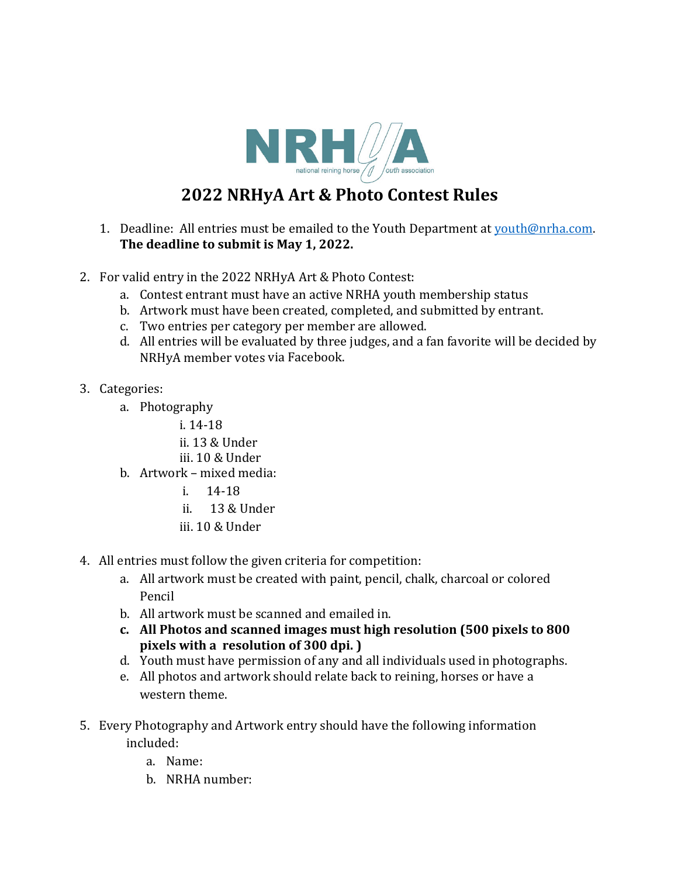

## **2022 NRHyA Art & Photo Contest Rules**

- 1. Deadline: All entries must be emailed to the Youth Department at  $vouth@nrha.com$ .</u> The deadline to submit is May 1, 2022.
- 2. For valid entry in the 2022 NRHyA Art & Photo Contest:
	- a. Contest entrant must have an active NRHA youth membership status
	- b. Artwork must have been created, completed, and submitted by entrant.
	- c. Two entries per category per member are allowed.
	- d. All entries will be evaluated by three judges, and a fan favorite will be decided by NRHyA member votes via Facebook.
- 3. Categories:
	- a. Photography
		- i.  $14-18$
		- ii. 13 & Under
		- iii. 10 & Under
	- b. Artwork mixed media:
		- $i. 14-18$
		- ii. 13 & Under
		- iii. 10 & Under
- 4. All entries must follow the given criteria for competition:
	- a. All artwork must be created with paint, pencil, chalk, charcoal or colored Pencil
	- b. All artwork must be scanned and emailed in.
	- **c. All Photos and scanned images must high resolution (500 pixels to 800 pixels** with a resolution of 300 dpi. )
	- d. Youth must have permission of any and all individuals used in photographs.
	- e. All photos and artwork should relate back to reining, horses or have a western theme.
- 5. Every Photography and Artwork entry should have the following information included:
	- a. Name:
	- b. NRHA number: